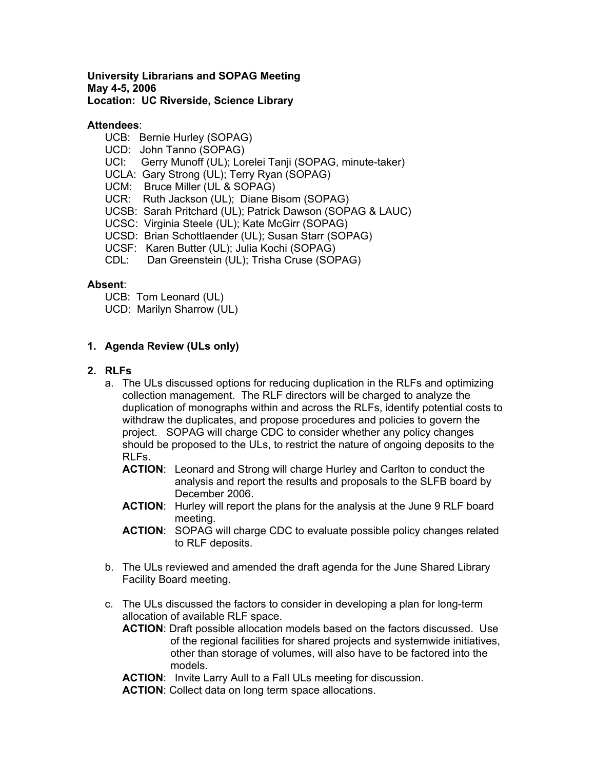#### **University Librarians and SOPAG Meeting May 4-5, 2006 Location: UC Riverside, Science Library**

## **Attendees**:

- UCB: Bernie Hurley (SOPAG)
- UCD: John Tanno (SOPAG)
- UCI: Gerry Munoff (UL); Lorelei Tanji (SOPAG, minute-taker)
- UCLA: Gary Strong (UL); Terry Ryan (SOPAG)
- UCM: Bruce Miller (UL & SOPAG)
- UCR: Ruth Jackson (UL); Diane Bisom (SOPAG)
- UCSB: Sarah Pritchard (UL); Patrick Dawson (SOPAG & LAUC)
- UCSC: Virginia Steele (UL); Kate McGirr (SOPAG)
- UCSD: Brian Schottlaender (UL); Susan Starr (SOPAG)
- UCSF: Karen Butter (UL); Julia Kochi (SOPAG)
- CDL: Dan Greenstein (UL); Trisha Cruse (SOPAG)

## **Absent**:

- UCB: Tom Leonard (UL)
- UCD: Marilyn Sharrow (UL)

## **1. Agenda Review (ULs only)**

## **2. RLFs**

- a. The ULs discussed options for reducing duplication in the RLFs and optimizing collection management. The RLF directors will be charged to analyze the duplication of monographs within and across the RLFs, identify potential costs to withdraw the duplicates, and propose procedures and policies to govern the project. SOPAG will charge CDC to consider whether any policy changes should be proposed to the ULs, to restrict the nature of ongoing deposits to the RLFs.
	- **ACTION**: Leonard and Strong will charge Hurley and Carlton to conduct the analysis and report the results and proposals to the SLFB board by December 2006.
	- **ACTION**: Hurley will report the plans for the analysis at the June 9 RLF board meeting.
	- **ACTION**: SOPAG will charge CDC to evaluate possible policy changes related to RLF deposits.
- b. The ULs reviewed and amended the draft agenda for the June Shared Library Facility Board meeting.
- c. The ULs discussed the factors to consider in developing a plan for long-term allocation of available RLF space.
	- **ACTION**: Draft possible allocation models based on the factors discussed. Use of the regional facilities for shared projects and systemwide initiatives, other than storage of volumes, will also have to be factored into the models.
	- **ACTION**: Invite Larry Aull to a Fall ULs meeting for discussion.

**ACTION**: Collect data on long term space allocations.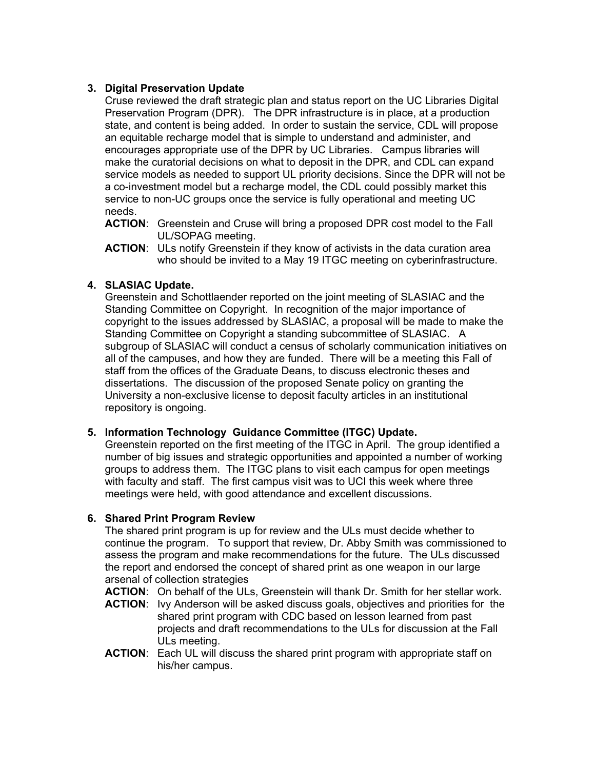# **3. Digital Preservation Update**

Cruse reviewed the draft strategic plan and status report on the UC Libraries Digital Preservation Program (DPR). The DPR infrastructure is in place, at a production state, and content is being added. In order to sustain the service, CDL will propose an equitable recharge model that is simple to understand and administer, and encourages appropriate use of the DPR by UC Libraries. Campus libraries will make the curatorial decisions on what to deposit in the DPR, and CDL can expand service models as needed to support UL priority decisions. Since the DPR will not be a co-investment model but a recharge model, the CDL could possibly market this service to non-UC groups once the service is fully operational and meeting UC needs.

- **ACTION**: Greenstein and Cruse will bring a proposed DPR cost model to the Fall UL/SOPAG meeting.
- **ACTION**: ULs notify Greenstein if they know of activists in the data curation area who should be invited to a May 19 ITGC meeting on cyberinfrastructure.

# **4. SLASIAC Update.**

Greenstein and Schottlaender reported on the joint meeting of SLASIAC and the Standing Committee on Copyright. In recognition of the major importance of copyright to the issues addressed by SLASIAC, a proposal will be made to make the Standing Committee on Copyright a standing subcommittee of SLASIAC. A subgroup of SLASIAC will conduct a census of scholarly communication initiatives on all of the campuses, and how they are funded. There will be a meeting this Fall of staff from the offices of the Graduate Deans, to discuss electronic theses and dissertations. The discussion of the proposed Senate policy on granting the University a non-exclusive license to deposit faculty articles in an institutional repository is ongoing.

## **5. Information Technology Guidance Committee (ITGC) Update.**

Greenstein reported on the first meeting of the ITGC in April. The group identified a number of big issues and strategic opportunities and appointed a number of working groups to address them. The ITGC plans to visit each campus for open meetings with faculty and staff. The first campus visit was to UCI this week where three meetings were held, with good attendance and excellent discussions.

## **6. Shared Print Program Review**

The shared print program is up for review and the ULs must decide whether to continue the program. To support that review, Dr. Abby Smith was commissioned to assess the program and make recommendations for the future. The ULs discussed the report and endorsed the concept of shared print as one weapon in our large arsenal of collection strategies

**ACTION**: On behalf of the ULs, Greenstein will thank Dr. Smith for her stellar work.

- **ACTION**: Ivy Anderson will be asked discuss goals, objectives and priorities for the shared print program with CDC based on lesson learned from past projects and draft recommendations to the ULs for discussion at the Fall ULs meeting.
- **ACTION**: Each UL will discuss the shared print program with appropriate staff on his/her campus.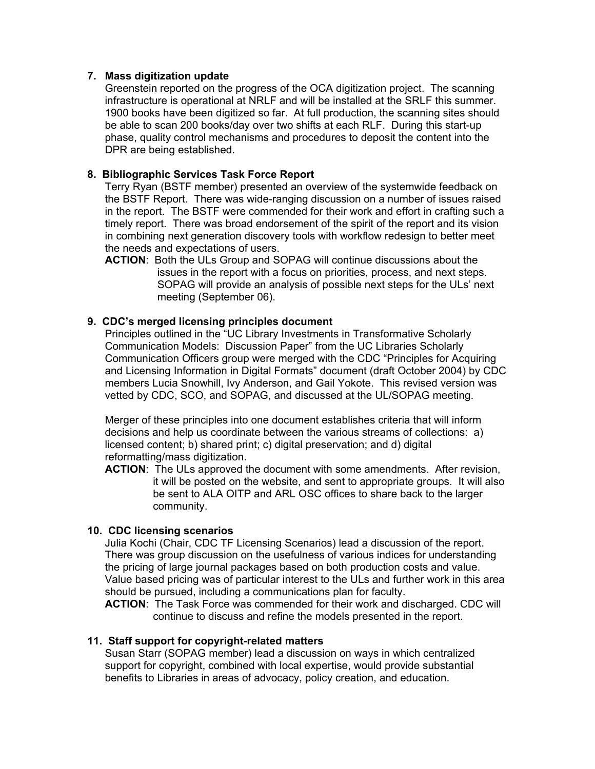## **7. Mass digitization update**

Greenstein reported on the progress of the OCA digitization project. The scanning infrastructure is operational at NRLF and will be installed at the SRLF this summer. 1900 books have been digitized so far. At full production, the scanning sites should be able to scan 200 books/day over two shifts at each RLF. During this start-up phase, quality control mechanisms and procedures to deposit the content into the DPR are being established.

## **8. Bibliographic Services Task Force Report**

Terry Ryan (BSTF member) presented an overview of the systemwide feedback on the BSTF Report. There was wide-ranging discussion on a number of issues raised in the report. The BSTF were commended for their work and effort in crafting such a timely report. There was broad endorsement of the spirit of the report and its vision in combining next generation discovery tools with workflow redesign to better meet the needs and expectations of users.

**ACTION**: Both the ULs Group and SOPAG will continue discussions about the issues in the report with a focus on priorities, process, and next steps. SOPAG will provide an analysis of possible next steps for the ULs' next meeting (September 06).

## **9. CDC's merged licensing principles document**

Principles outlined in the "UC Library Investments in Transformative Scholarly Communication Models: Discussion Paper" from the UC Libraries Scholarly Communication Officers group were merged with the CDC "Principles for Acquiring and Licensing Information in Digital Formats" document (draft October 2004) by CDC members Lucia Snowhill, Ivy Anderson, and Gail Yokote. This revised version was vetted by CDC, SCO, and SOPAG, and discussed at the UL/SOPAG meeting.

Merger of these principles into one document establishes criteria that will inform decisions and help us coordinate between the various streams of collections: a) licensed content; b) shared print; c) digital preservation; and d) digital reformatting/mass digitization.

**ACTION**: The ULs approved the document with some amendments. After revision, it will be posted on the website, and sent to appropriate groups. It will also be sent to ALA OITP and ARL OSC offices to share back to the larger community.

#### **10. CDC licensing scenarios**

Julia Kochi (Chair, CDC TF Licensing Scenarios) lead a discussion of the report. There was group discussion on the usefulness of various indices for understanding the pricing of large journal packages based on both production costs and value. Value based pricing was of particular interest to the ULs and further work in this area should be pursued, including a communications plan for faculty.

**ACTION**: The Task Force was commended for their work and discharged. CDC will continue to discuss and refine the models presented in the report.

#### **11. Staff support for copyright-related matters**

Susan Starr (SOPAG member) lead a discussion on ways in which centralized support for copyright, combined with local expertise, would provide substantial benefits to Libraries in areas of advocacy, policy creation, and education.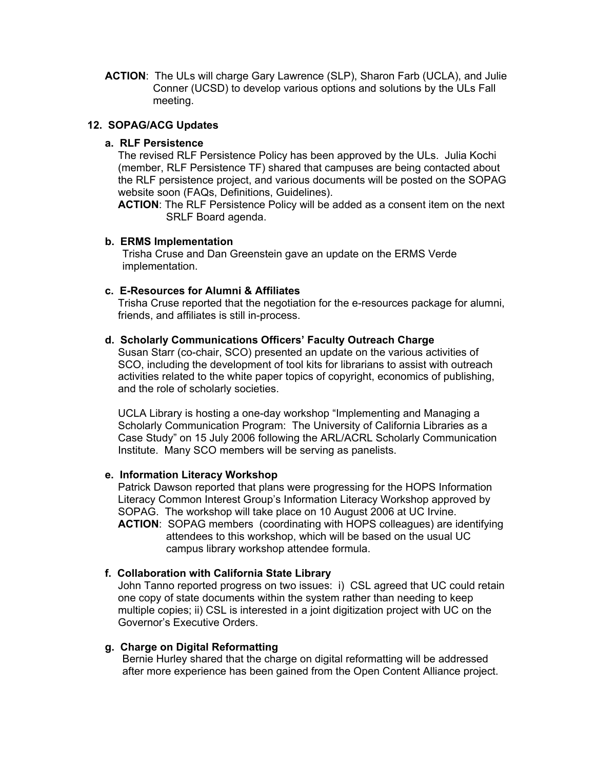**ACTION**: The ULs will charge Gary Lawrence (SLP), Sharon Farb (UCLA), and Julie Conner (UCSD) to develop various options and solutions by the ULs Fall meeting.

## **12. SOPAG/ACG Updates**

#### **a. RLF Persistence**

The revised RLF Persistence Policy has been approved by the ULs. Julia Kochi (member, RLF Persistence TF) shared that campuses are being contacted about the RLF persistence project, and various documents will be posted on the SOPAG website soon (FAQs, Definitions, Guidelines).

**ACTION**: The RLF Persistence Policy will be added as a consent item on the next SRLF Board agenda.

#### **b. ERMS Implementation**

Trisha Cruse and Dan Greenstein gave an update on the ERMS Verde implementation.

#### **c. E-Resources for Alumni & Affiliates**

Trisha Cruse reported that the negotiation for the e-resources package for alumni, friends, and affiliates is still in-process.

## **d. Scholarly Communications Officers' Faculty Outreach Charge**

Susan Starr (co-chair, SCO) presented an update on the various activities of SCO, including the development of tool kits for librarians to assist with outreach activities related to the white paper topics of copyright, economics of publishing, and the role of scholarly societies.

UCLA Library is hosting a one-day workshop "Implementing and Managing a Scholarly Communication Program: The University of California Libraries as a Case Study" on 15 July 2006 following the ARL/ACRL Scholarly Communication Institute. Many SCO members will be serving as panelists.

#### **e. Information Literacy Workshop**

Patrick Dawson reported that plans were progressing for the HOPS Information Literacy Common Interest Group's Information Literacy Workshop approved by SOPAG. The workshop will take place on 10 August 2006 at UC Irvine.

**ACTION**: SOPAG members (coordinating with HOPS colleagues) are identifying attendees to this workshop, which will be based on the usual UC campus library workshop attendee formula.

#### **f. Collaboration with California State Library**

John Tanno reported progress on two issues: i) CSL agreed that UC could retain one copy of state documents within the system rather than needing to keep multiple copies; ii) CSL is interested in a joint digitization project with UC on the Governor's Executive Orders.

## **g. Charge on Digital Reformatting**

Bernie Hurley shared that the charge on digital reformatting will be addressed after more experience has been gained from the Open Content Alliance project.